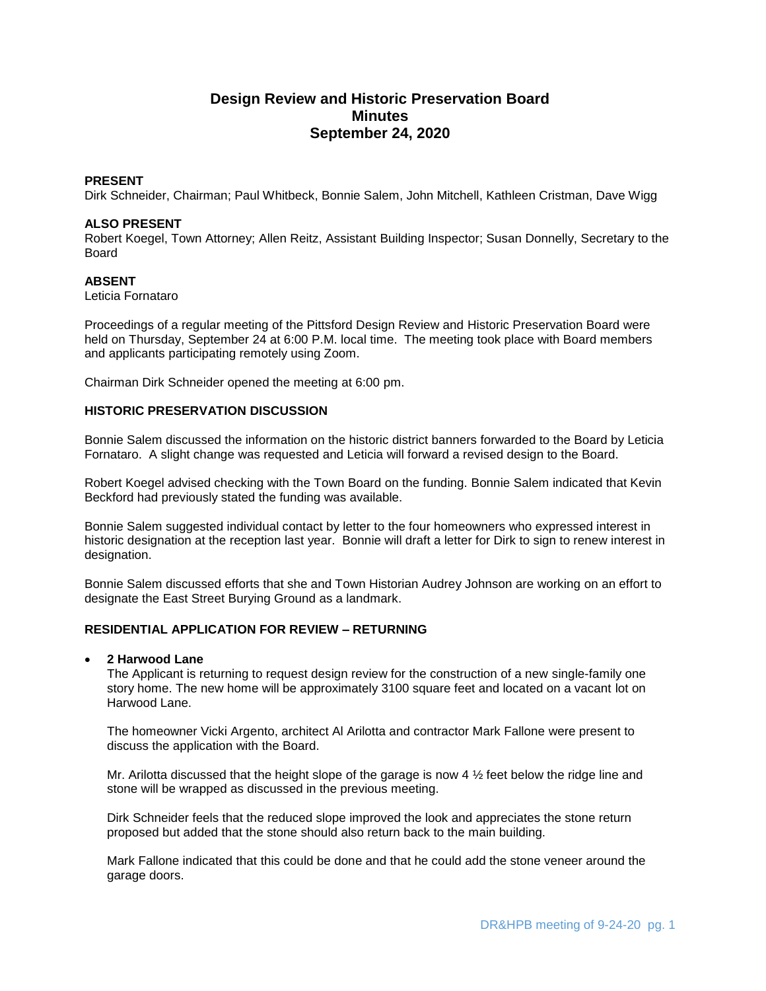# **Design Review and Historic Preservation Board Minutes September 24, 2020**

#### **PRESENT**

Dirk Schneider, Chairman; Paul Whitbeck, Bonnie Salem, John Mitchell, Kathleen Cristman, Dave Wigg

#### **ALSO PRESENT**

Robert Koegel, Town Attorney; Allen Reitz, Assistant Building Inspector; Susan Donnelly, Secretary to the Board

## **ABSENT**

Leticia Fornataro

Proceedings of a regular meeting of the Pittsford Design Review and Historic Preservation Board were held on Thursday, September 24 at 6:00 P.M. local time. The meeting took place with Board members and applicants participating remotely using Zoom.

Chairman Dirk Schneider opened the meeting at 6:00 pm.

#### **HISTORIC PRESERVATION DISCUSSION**

Bonnie Salem discussed the information on the historic district banners forwarded to the Board by Leticia Fornataro. A slight change was requested and Leticia will forward a revised design to the Board.

Robert Koegel advised checking with the Town Board on the funding. Bonnie Salem indicated that Kevin Beckford had previously stated the funding was available.

Bonnie Salem suggested individual contact by letter to the four homeowners who expressed interest in historic designation at the reception last year. Bonnie will draft a letter for Dirk to sign to renew interest in designation.

Bonnie Salem discussed efforts that she and Town Historian Audrey Johnson are working on an effort to designate the East Street Burying Ground as a landmark.

# **RESIDENTIAL APPLICATION FOR REVIEW – RETURNING**

#### **2 Harwood Lane**

The Applicant is returning to request design review for the construction of a new single-family one story home. The new home will be approximately 3100 square feet and located on a vacant lot on Harwood Lane.

The homeowner Vicki Argento, architect Al Arilotta and contractor Mark Fallone were present to discuss the application with the Board.

Mr. Arilotta discussed that the height slope of the garage is now 4  $\frac{1}{2}$  feet below the ridge line and stone will be wrapped as discussed in the previous meeting.

Dirk Schneider feels that the reduced slope improved the look and appreciates the stone return proposed but added that the stone should also return back to the main building.

Mark Fallone indicated that this could be done and that he could add the stone veneer around the garage doors.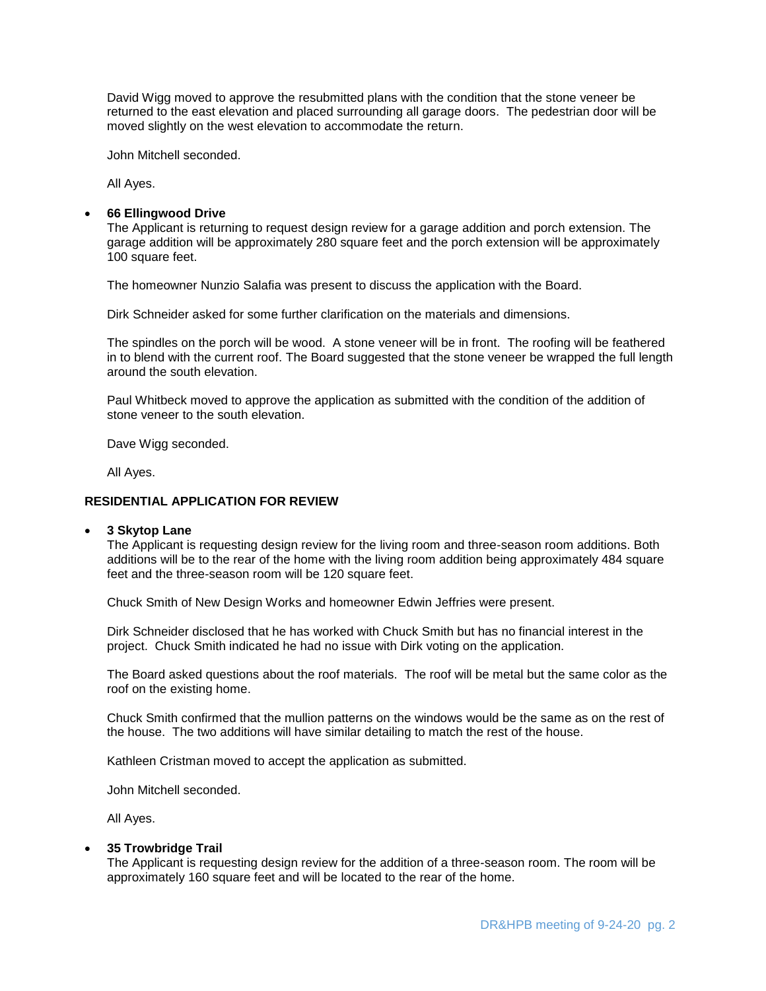David Wigg moved to approve the resubmitted plans with the condition that the stone veneer be returned to the east elevation and placed surrounding all garage doors. The pedestrian door will be moved slightly on the west elevation to accommodate the return.

John Mitchell seconded.

All Ayes.

#### **66 Ellingwood Drive**

The Applicant is returning to request design review for a garage addition and porch extension. The garage addition will be approximately 280 square feet and the porch extension will be approximately 100 square feet.

The homeowner Nunzio Salafia was present to discuss the application with the Board.

Dirk Schneider asked for some further clarification on the materials and dimensions.

The spindles on the porch will be wood. A stone veneer will be in front. The roofing will be feathered in to blend with the current roof. The Board suggested that the stone veneer be wrapped the full length around the south elevation.

Paul Whitbeck moved to approve the application as submitted with the condition of the addition of stone veneer to the south elevation.

Dave Wigg seconded.

All Ayes.

# **RESIDENTIAL APPLICATION FOR REVIEW**

## **3 Skytop Lane**

The Applicant is requesting design review for the living room and three-season room additions. Both additions will be to the rear of the home with the living room addition being approximately 484 square feet and the three-season room will be 120 square feet.

Chuck Smith of New Design Works and homeowner Edwin Jeffries were present.

Dirk Schneider disclosed that he has worked with Chuck Smith but has no financial interest in the project. Chuck Smith indicated he had no issue with Dirk voting on the application.

The Board asked questions about the roof materials. The roof will be metal but the same color as the roof on the existing home.

Chuck Smith confirmed that the mullion patterns on the windows would be the same as on the rest of the house. The two additions will have similar detailing to match the rest of the house.

Kathleen Cristman moved to accept the application as submitted.

John Mitchell seconded.

All Ayes.

## **35 Trowbridge Trail**

The Applicant is requesting design review for the addition of a three-season room. The room will be approximately 160 square feet and will be located to the rear of the home.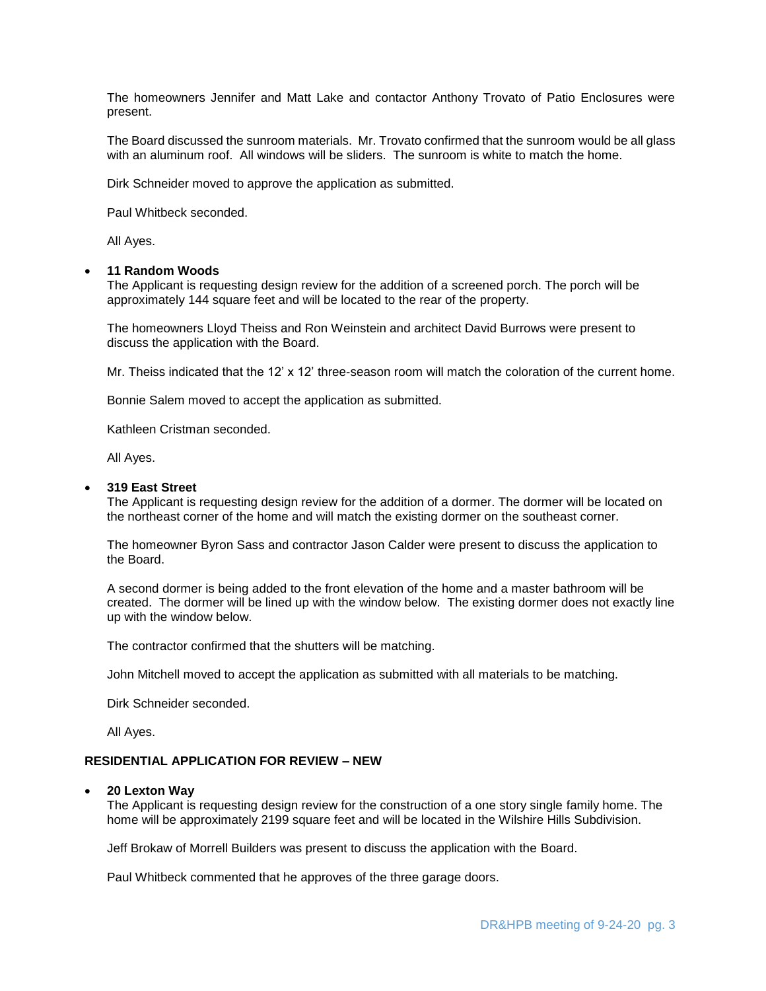The homeowners Jennifer and Matt Lake and contactor Anthony Trovato of Patio Enclosures were present.

The Board discussed the sunroom materials. Mr. Trovato confirmed that the sunroom would be all glass with an aluminum roof. All windows will be sliders. The sunroom is white to match the home.

Dirk Schneider moved to approve the application as submitted.

Paul Whitbeck seconded.

All Ayes.

#### **11 Random Woods**

The Applicant is requesting design review for the addition of a screened porch. The porch will be approximately 144 square feet and will be located to the rear of the property.

The homeowners Lloyd Theiss and Ron Weinstein and architect David Burrows were present to discuss the application with the Board.

Mr. Theiss indicated that the 12' x 12' three-season room will match the coloration of the current home.

Bonnie Salem moved to accept the application as submitted.

Kathleen Cristman seconded.

All Ayes.

#### **319 East Street**

The Applicant is requesting design review for the addition of a dormer. The dormer will be located on the northeast corner of the home and will match the existing dormer on the southeast corner.

The homeowner Byron Sass and contractor Jason Calder were present to discuss the application to the Board.

A second dormer is being added to the front elevation of the home and a master bathroom will be created. The dormer will be lined up with the window below. The existing dormer does not exactly line up with the window below.

The contractor confirmed that the shutters will be matching.

John Mitchell moved to accept the application as submitted with all materials to be matching.

Dirk Schneider seconded.

All Ayes.

## **RESIDENTIAL APPLICATION FOR REVIEW – NEW**

## **20 Lexton Way**

The Applicant is requesting design review for the construction of a one story single family home. The home will be approximately 2199 square feet and will be located in the Wilshire Hills Subdivision.

Jeff Brokaw of Morrell Builders was present to discuss the application with the Board.

Paul Whitbeck commented that he approves of the three garage doors.